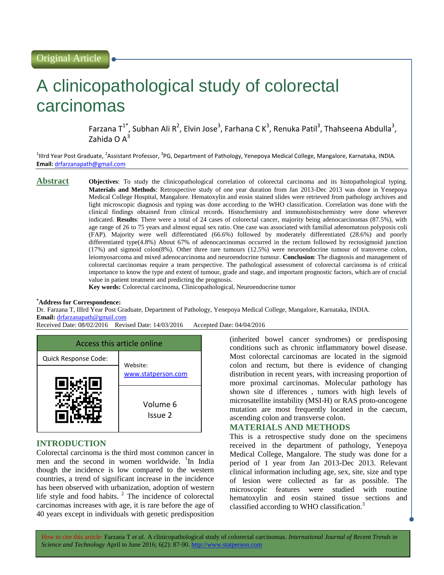# A clinicopathological study of colorectal carcinomas

Farzana T<sup>1\*</sup>, Subhan Ali R<sup>2</sup>, Elvin Jose<sup>3</sup>, Farhana C K<sup>3</sup>, Renuka Patil<sup>3</sup>, Thahseena Abdulla<sup>3</sup>, Zahida O $A^3$ 

<sup>1</sup>IIIrd Year Post Graduate, <sup>2</sup>Assistant Professor, <sup>3</sup>PG, Department of Pathology, Yenepoya Medical College, Mangalore, Karnataka, INDIA. **Email:** [drfarzanapath@gmail.com](mailto:drfarzanapath@gmail.com)

**Abstract Objectives**: To study the clinicopathological correlation of colorectal carcinoma and its histopathological typing. **Materials and Methods**: Retrospective study of one year duration from Jan 2013-Dec 2013 was done in Yenepoya Medical College Hospital, Mangalore. Hematoxylin and eosin stained slides were retrieved from pathology archives and light microscopic diagnosis and typing was done according to the WHO classification. Correlation was done with the clinical findings obtained from clinical records. Histochemistry and immunohistochemistry were done wherever indicated. **Results**: There were a total of 24 cases of colorectal cancer, majority being adenocarcinomas (87.5%), with age range of 26 to 75 years and almost equal sex ratio. One case was associated with familial adenomatous polyposis coli (FAP). Majority were well differentiated (66.6%) followed by moderately differentiated (28.6%) and poorly differentiated type(4.8%) About 67% of adenocarcinomas occurred in the rectum followed by rectosigmoid junction (17%) and sigmoid colon(8%). Other three rare tumours (12.5%) were neuroendocrine tumour of transverse colon, leiomyosarcoma and mixed adenocarcinoma and neuroendocrine tumour. **Conclusion**: The diagnosis and management of colorectal carcinomas require a team perspective. The pathological assessment of colorectal carcinoma is of critical importance to know the type and extent of tumour, grade and stage, and important prognostic factors, which are of crucial value in patient treatment and predicting the prognosis.

**Key words:** Colorectal carcinoma, Clinicopathological, Neuroendocrine tumor

#### **\*Address for Correspondence:**

Dr. Farzana T, IIIrd Year Post Graduate, Department of Pathology, Yenepoya Medical College, Mangalore, Karnataka, INDIA. **Email:** [drfarzanapath@gmail.com](mailto:drfarzanapath@gmail.com)

Received Date: 08/02/2016 Revised Date: 14/03/2016 Accepted Date: 04/04/2016



# **INTRODUCTION**

Colorectal carcinoma is the third most common cancer in men and the second in women worldwide. <sup>1</sup>In India though the incidence is low compared to the western countries, a trend of significant increase in the incidence has been observed with urbanization, adoption of western life style and food habits. $^2$  The incidence of colorectal carcinomas increases with age, it is rare before the age of 40 years except in individuals with genetic predisposition (inherited bowel cancer syndromes) or predisposing conditions such as chronic inflammatory bowel disease. Most colorectal carcinomas are located in the sigmoid colon and rectum, but there is evidence of changing distribution in recent years, with increasing proportion of more proximal carcinomas. Molecular pathology has shown site d ifferences , tumors with high levels of microsatellite instability (MSI-H) or RAS proto-oncogene mutation are most frequently located in the caecum, ascending colon and transverse colon.

# **MATERIALS AND METHODS**

This is a retrospective study done on the specimens received in the department of pathology, Yenepoya Medical College, Mangalore. The study was done for a period of 1 year from Jan 2013-Dec 2013. Relevant clinical information including age, sex, site, size and type of lesion were collected as far as possible. The microscopic features were studied with routine hematoxylin and eosin stained tissue sections and classified according to WHO classification.<sup>3</sup>

How to cite this article: Farzana T *et al.* A clinicopathological study of colorectal carcinomas. *International Journal of Recent Trends in Science and Technology* April to June 2016; 6(2): 87-90. http://www.statperson.com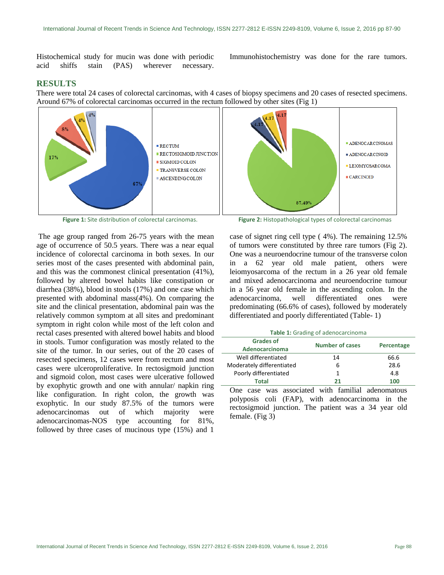Histochemical study for mucin was done with periodic acid shiffs stain (PAS) wherever necessary.

Immunohistochemistry was done for the rare tumors.

# **RESULTS**

There were total 24 cases of colorectal carcinomas, with 4 cases of biopsy specimens and 20 cases of resected specimens. Around 67% of colorectal carcinomas occurred in the rectum followed by other sites (Fig 1)



The age group ranged from 26-75 years with the mean age of occurrence of 50.5 years. There was a near equal incidence of colorectal carcinoma in both sexes. In our series most of the cases presented with abdominal pain, and this was the commonest clinical presentation (41%), followed by altered bowel habits like constipation or diarrhea (38%), blood in stools (17%) and one case which presented with abdominal mass(4%). On comparing the site and the clinical presentation, abdominal pain was the relatively common symptom at all sites and predominant symptom in right colon while most of the left colon and rectal cases presented with altered bowel habits and blood in stools. Tumor configuration was mostly related to the site of the tumor. In our series, out of the 20 cases of resected specimens, 12 cases were from rectum and most cases were ulceroproliferative. In rectosigmoid junction and sigmoid colon, most cases were ulcerative followed by exophytic growth and one with annular/ napkin ring like configuration. In right colon, the growth was exophytic. In our study 87.5% of the tumors were adenocarcinomas out of which majority were adenocarcinomas-NOS type accounting for 81%, followed by three cases of mucinous type (15%) and 1

**Figure 1:** Site distribution of colorectal carcinomas. **Figure 2:** Histopathological types of colorectal carcinomas

case of signet ring cell type ( 4%). The remaining 12.5% of tumors were constituted by three rare tumors (Fig 2). One was a neuroendocrine tumour of the transverse colon in a 62 year old male patient, others were leiomyosarcoma of the rectum in a 26 year old female and mixed adenocarcinoma and neuroendocrine tumour in a 56 year old female in the ascending colon. In the adenocarcinoma, well differentiated ones were predominating (66.6% of cases), followed by moderately differentiated and poorly differentiated (Table- 1)

**Table 1:** Grading of adenocarcinoma

| <b>Grades of</b><br><b>Adenocarcinoma</b> | <b>Number of cases</b> | Percentage |
|-------------------------------------------|------------------------|------------|
| Well differentiated                       | 14                     | 66.6       |
| Moderately differentiated                 | b                      | 28.6       |
| Poorly differentiated                     |                        | 4.8        |
| Total                                     | 21                     | 100        |

One case was associated with familial adenomatous polyposis coli (FAP), with adenocarcinoma in the rectosigmoid junction. The patient was a 34 year old female. (Fig 3)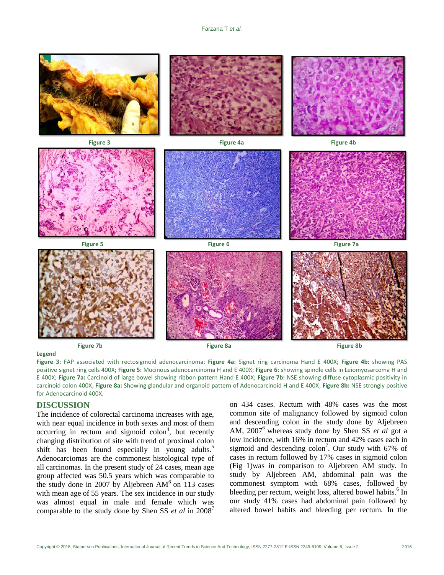

**Legend**

**Figure 3:** FAP associated with rectosigmoid adenocarcinoma; **Figure 4a:** Signet ring carcinoma Hand E 400X**; Figure 4b:** showing PAS positive signet ring cells 400X**; Figure 5:** Mucinous adenocarcinoma H and E 400X; **Figure 6:** showing spindle cells in Leiomyosarcoma H and E 400X; **Figure 7a:** Carcinoid of large bowel showing ribbon pattern Hand E 400X; **Figure 7b:** NSE showing diffuse cytoplasmic positivity in carcinoid colon 400X; **Figure 8a:** Showing glandular and organoid pattern of Adenocarcinoid H and E 400X; **Figure 8b:** NSE strongly positive for Adenocarcinoid 400X.

### **DISCUSSION**

The incidence of colorectal carcinoma increases with age, with near equal incidence in both sexes and most of them  $occurring$  in rectum and sigmoid  $colon<sup>4</sup>$ , but recently changing distribution of site with trend of proximal colon shift has been found especially in young adults.<sup>5</sup> Adenocarciomas are the commonest histological type of all carcinomas. In the present study of 24 cases, mean age group affected was 50.5 years which was comparable to the study done in 2007 by Aljebreen  $AM<sup>6</sup>$  on 113 cases with mean age of 55 years. The sex incidence in our study was almost equal in male and female which was comparable to the study done by Shen SS *et al* in 2008<sup>7</sup>

on 434 cases. Rectum with 48% cases was the most common site of malignancy followed by sigmoid colon and descending colon in the study done by Aljebreen AM, 2007<sup>6</sup> whereas study done by Shen SS *et al* got a low incidence, with 16% in rectum and 42% cases each in sigmoid and descending  $\text{colon}^7$ . Our study with 67% of cases in rectum followed by 17% cases in sigmoid colon (Fig 1)was in comparison to Aljebreen AM study. In study by Aljebreen AM, abdominal pain was the commonest symptom with 68% cases, followed by bleeding per rectum, weight loss, altered bowel habits.<sup>6</sup> In our study 41% cases had abdominal pain followed by altered bowel habits and bleeding per rectum. In the